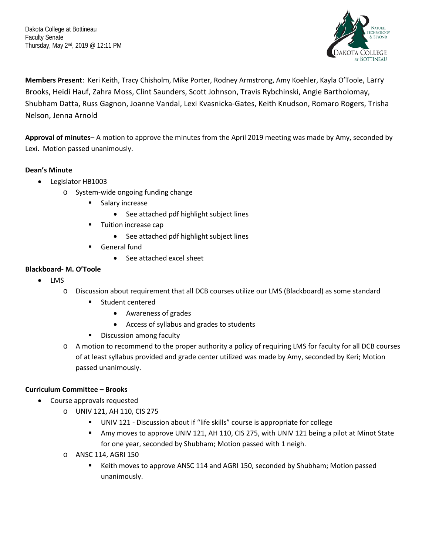Dakota College at Bottineau Faculty Senate Thursday, May 2nd, 2019 @ 12:11 PM



**Members Present**: Keri Keith, Tracy Chisholm, Mike Porter, Rodney Armstrong, Amy Koehler, Kayla O'Toole, Larry Brooks, Heidi Hauf, Zahra Moss, Clint Saunders, Scott Johnson, Travis Rybchinski, Angie Bartholomay, Shubham Datta, Russ Gagnon, Joanne Vandal, Lexi Kvasnicka-Gates, Keith Knudson, Romaro Rogers, Trisha Nelson, Jenna Arnold

**Approval of minutes**– A motion to approve the minutes from the April 2019 meeting was made by Amy, seconded by Lexi. Motion passed unanimously.

# **Dean's Minute**

- Legislator HB1003
	- o System-wide ongoing funding change
		- **Salary increase** 
			- See attached pdf highlight subject lines
		- **Tuition increase cap** 
			- See attached pdf highlight subject lines
		- General fund
			- See attached excel sheet

# **Blackboard- M. O'Toole**

- LMS
	- o Discussion about requirement that all DCB courses utilize our LMS (Blackboard) as some standard
		- **EXECUTE:** Student centered
			- Awareness of grades
			- Access of syllabus and grades to students
		- **Discussion among faculty**
	- o A motion to recommend to the proper authority a policy of requiring LMS for faculty for all DCB courses of at least syllabus provided and grade center utilized was made by Amy, seconded by Keri; Motion passed unanimously.

# **Curriculum Committee – Brooks**

- Course approvals requested
	- o UNIV 121, AH 110, CIS 275
		- UNIV 121 Discussion about if "life skills" course is appropriate for college
		- Amy moves to approve UNIV 121, AH 110, CIS 275, with UNIV 121 being a pilot at Minot State for one year, seconded by Shubham; Motion passed with 1 neigh.
	- o ANSC 114, AGRI 150
		- Keith moves to approve ANSC 114 and AGRI 150, seconded by Shubham; Motion passed unanimously.